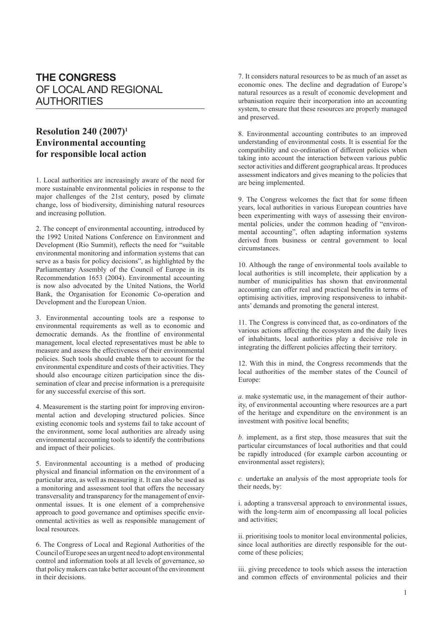## **THE CONGRESS** OF LOCAL AND REGIONAL **AUTHORITIES**

## **Resolution 240 (2007)1 Environmental accounting for responsible local action**

1. Local authorities are increasingly aware of the need for more sustainable environmental policies in response to the major challenges of the 21st century, posed by climate change, loss of biodiversity, diminishing natural resources and increasing pollution.

2. The concept of environmental accounting, introduced by the 1992 United Nations Conference on Environment and Development (Rio Summit), reflects the need for "suitable environmental monitoring and information systems that can serve as a basis for policy decisions", as highlighted by the Parliamentary Assembly of the Council of Europe in its Recommendation 1653 (2004). Environmental accounting is now also advocated by the United Nations, the World Bank, the Organisation for Economic Co-operation and Development and the European Union.

3. Environmental accounting tools are a response to environmental requirements as well as to economic and democratic demands. As the frontline of environmental management, local elected representatives must be able to measure and assess the effectiveness of their environmental policies. Such tools should enable them to account for the environmental expenditure and costs of their activities. They should also encourage citizen participation since the dissemination of clear and precise information is a prerequisite for any successful exercise of this sort.

4. Measurement is the starting point for improving environmental action and developing structured policies. Since existing economic tools and systems fail to take account of the environment, some local authorities are already using environmental accounting tools to identify the contributions and impact of their policies.

5. Environmental accounting is a method of producing physical and financial information on the environment of a particular area, as well as measuring it. It can also be used as a monitoring and assessment tool that offers the necessary transversality and transparency for the management of environmental issues. It is one element of a comprehensive approach to good governance and optimises specific environmental activities as well as responsible management of local resources.

6. The Congress of Local and Regional Authorities of the Council of Europe sees an urgent need to adopt environmental control and information tools at all levels of governance, so that policy makers can take better account of the environment in their decisions.

7. It considers natural resources to be as much of an asset as economic ones. The decline and degradation of Europe's natural resources as a result of economic development and urbanisation require their incorporation into an accounting system, to ensure that these resources are properly managed and preserved.

8. Environmental accounting contributes to an improved understanding of environmental costs. It is essential for the compatibility and co-ordination of different policies when taking into account the interaction between various public sector activities and different geographical areas. It produces assessment indicators and gives meaning to the policies that are being implemented.

9. The Congress welcomes the fact that for some fifteen years, local authorities in various European countries have been experimenting with ways of assessing their environmental policies, under the common heading of "environmental accounting", often adapting information systems derived from business or central government to local circumstances.

10. Although the range of environmental tools available to local authorities is still incomplete, their application by a number of municipalities has shown that environmental accounting can offer real and practical benefits in terms of optimising activities, improving responsiveness to inhabitants' demands and promoting the general interest.

11. The Congress is convinced that, as co-ordinators of the various actions affecting the ecosystem and the daily lives of inhabitants, local authorities play a decisive role in integrating the different policies affecting their territory.

12. With this in mind, the Congress recommends that the local authorities of the member states of the Council of Europe:

*a.* make systematic use, in the management of their authority, of environmental accounting where resources are a part of the heritage and expenditure on the environment is an investment with positive local benefits;

*b.* implement, as a first step, those measures that suit the particular circumstances of local authorities and that could be rapidly introduced (for example carbon accounting or environmental asset registers);

*c.* undertake an analysis of the most appropriate tools for their needs, by:

i. adopting a transversal approach to environmental issues, with the long-term aim of encompassing all local policies and activities;

ii. prioritising tools to monitor local environmental policies, since local authorities are directly responsible for the outcome of these policies;

iii. giving precedence to tools which assess the interaction and common effects of environmental policies and their